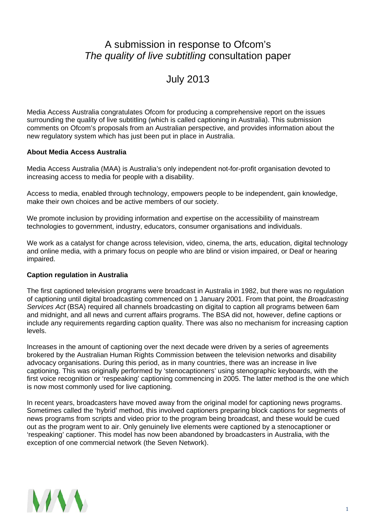## A submission in response to Ofcom's *The quality of live subtitling* consultation paper

# July 2013

Media Access Australia congratulates Ofcom for producing a comprehensive report on the issues surrounding the quality of live subtitling (which is called captioning in Australia). This submission comments on Ofcom's proposals from an Australian perspective, and provides information about the new regulatory system which has just been put in place in Australia.

### **About Media Access Australia**

Media Access Australia (MAA) is Australia's only independent not-for-profit organisation devoted to increasing access to media for people with a disability.

Access to media, enabled through technology, empowers people to be independent, gain knowledge, make their own choices and be active members of our society.

We promote inclusion by providing information and expertise on the accessibility of mainstream technologies to government, industry, educators, consumer organisations and individuals.

We work as a catalyst for change across television, video, cinema, the arts, education, digital technology and online media, with a primary focus on people who are blind or vision impaired, or Deaf or hearing impaired.

#### **Caption regulation in Australia**

The first captioned television programs were broadcast in Australia in 1982, but there was no regulation of captioning until digital broadcasting commenced on 1 January 2001. From that point, the *Broadcasting Services Act* (BSA) required all channels broadcasting on digital to caption all programs between 6am and midnight, and all news and current affairs programs. The BSA did not, however, define captions or include any requirements regarding caption quality. There was also no mechanism for increasing caption levels.

Increases in the amount of captioning over the next decade were driven by a series of agreements brokered by the Australian Human Rights Commission between the television networks and disability advocacy organisations. During this period, as in many countries, there was an increase in live captioning. This was originally performed by 'stenocaptioners' using stenographic keyboards, with the first voice recognition or 'respeaking' captioning commencing in 2005. The latter method is the one which is now most commonly used for live captioning.

In recent years, broadcasters have moved away from the original model for captioning news programs. Sometimes called the 'hybrid' method, this involved captioners preparing block captions for segments of news programs from scripts and video prior to the program being broadcast, and these would be cued out as the program went to air. Only genuinely live elements were captioned by a stenocaptioner or 'respeaking' captioner. This model has now been abandoned by broadcasters in Australia, with the exception of one commercial network (the Seven Network).

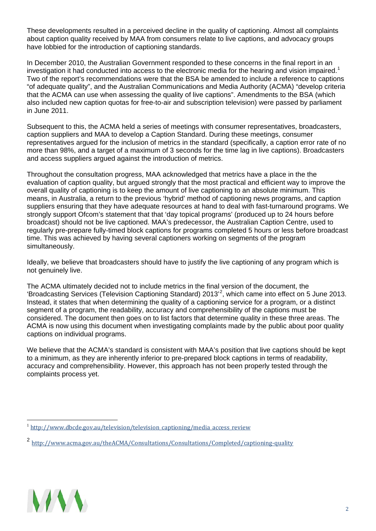These developments resulted in a perceived decline in the quality of captioning. Almost all complaints about caption quality received by MAA from consumers relate to live captions, and advocacy groups have lobbied for the introduction of captioning standards.

In December 2010, the Australian Government responded to these concerns in the final report in an investigation it had conducted into access to the electronic media for the hearing and vision impaired.<sup>[1](#page-1-0)</sup> Two of the report's recommendations were that the BSA be amended to include a reference to captions "of adequate quality", and the Australian Communications and Media Authority (ACMA) "develop criteria that the ACMA can use when assessing the quality of live captions". Amendments to the BSA (which also included new caption quotas for free-to-air and subscription television) were passed by parliament in June 2011.

Subsequent to this, the ACMA held a series of meetings with consumer representatives, broadcasters, caption suppliers and MAA to develop a Caption Standard. During these meetings, consumer representatives argued for the inclusion of metrics in the standard (specifically, a caption error rate of no more than 98%, and a target of a maximum of 3 seconds for the time lag in live captions). Broadcasters and access suppliers argued against the introduction of metrics.

Throughout the consultation progress, MAA acknowledged that metrics have a place in the the evaluation of caption quality, but argued strongly that the most practical and efficient way to improve the overall quality of captioning is to keep the amount of live captioning to an absolute minimum. This means, in Australia, a return to the previous 'hybrid' method of captioning news programs, and caption suppliers ensuring that they have adequate resources at hand to deal with fast-turnaround programs. We strongly support Ofcom's statement that that 'day topical programs' (produced up to 24 hours before broadcast) should not be live captioned. MAA's predecessor, the Australian Caption Centre, used to regularly pre-prepare fully-timed block captions for programs completed 5 hours or less before broadcast time. This was achieved by having several captioners working on segments of the program simultaneously.

Ideally, we believe that broadcasters should have to justify the live captioning of any program which is not genuinely live.

The ACMA ultimately decided not to include metrics in the final version of the document, the 'Broadcasting Services (Television Captioning Standard) [2](#page-1-1)013<sup>'2</sup>, which came into effect on 5 June 2013. Instead, it states that when determining the quality of a captioning service for a program, or a distinct segment of a program, the readability, accuracy and comprehensibility of the captions must be considered. The document then goes on to list factors that determine quality in these three areas. The ACMA is now using this document when investigating complaints made by the public about poor quality captions on individual programs.

We believe that the ACMA's standard is consistent with MAA's position that live captions should be kept to a minimum, as they are inherently inferior to pre-prepared block captions in terms of readability, accuracy and comprehensibility. However, this approach has not been properly tested through the complaints process yet.



<span id="page-1-0"></span> $1$  http://www.dbcde.gov.au/television/television captioning/media access review

<span id="page-1-1"></span><sup>2</sup> <http://www.acma.gov.au/theACMA/Consultations/Consultations/Completed/captioning-quality>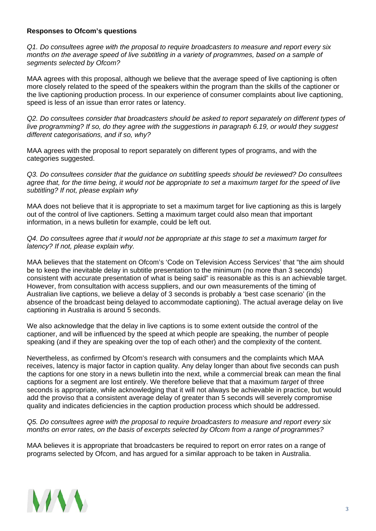#### **Responses to Ofcom's questions**

*Q1. Do consultees agree with the proposal to require broadcasters to measure and report every six months on the average speed of live subtitling in a variety of programmes, based on a sample of segments selected by Ofcom?*

MAA agrees with this proposal, although we believe that the average speed of live captioning is often more closely related to the speed of the speakers within the program than the skills of the captioner or the live captioning production process. In our experience of consumer complaints about live captioning, speed is less of an issue than error rates or latency.

*Q2. Do consultees consider that broadcasters should be asked to report separately on different types of live programming? If so, do they agree with the suggestions in paragraph 6.19, or would they suggest different categorisations, and if so, why?*

MAA agrees with the proposal to report separately on different types of programs, and with the categories suggested.

*Q3. Do consultees consider that the guidance on subtitling speeds should be reviewed? Do consultees agree that, for the time being, it would not be appropriate to set a maximum target for the speed of live subtitling? If not, please explain why*

MAA does not believe that it is appropriate to set a maximum target for live captioning as this is largely out of the control of live captioners. Setting a maximum target could also mean that important information, in a news bulletin for example, could be left out.

#### *Q4. Do consultees agree that it would not be appropriate at this stage to set a maximum target for latency? If not, please explain why.*

MAA believes that the statement on Ofcom's 'Code on Television Access Services' that "the aim should be to keep the inevitable delay in subtitle presentation to the minimum (no more than 3 seconds) consistent with accurate presentation of what is being said" is reasonable as this is an achievable target. However, from consultation with access suppliers, and our own measurements of the timing of Australian live captions, we believe a delay of 3 seconds is probably a 'best case scenario' (in the absence of the broadcast being delayed to accommodate captioning). The actual average delay on live captioning in Australia is around 5 seconds.

We also acknowledge that the delay in live captions is to some extent outside the control of the captioner, and will be influenced by the speed at which people are speaking, the number of people speaking (and if they are speaking over the top of each other) and the complexity of the content.

Nevertheless, as confirmed by Ofcom's research with consumers and the complaints which MAA receives, latency is major factor in caption quality. Any delay longer than about five seconds can push the captions for one story in a news bulletin into the next, while a commercial break can mean the final captions for a segment are lost entirely. We therefore believe that that a maximum *target* of three seconds is appropriate, while acknowledging that it will not always be achievable in practice, but would add the proviso that a consistent average delay of greater than 5 seconds will severely compromise quality and indicates deficiencies in the caption production process which should be addressed.

*Q5. Do consultees agree with the proposal to require broadcasters to measure and report every six months on error rates, on the basis of excerpts selected by Ofcom from a range of programmes?*

MAA believes it is appropriate that broadcasters be required to report on error rates on a range of programs selected by Ofcom, and has argued for a similar approach to be taken in Australia.